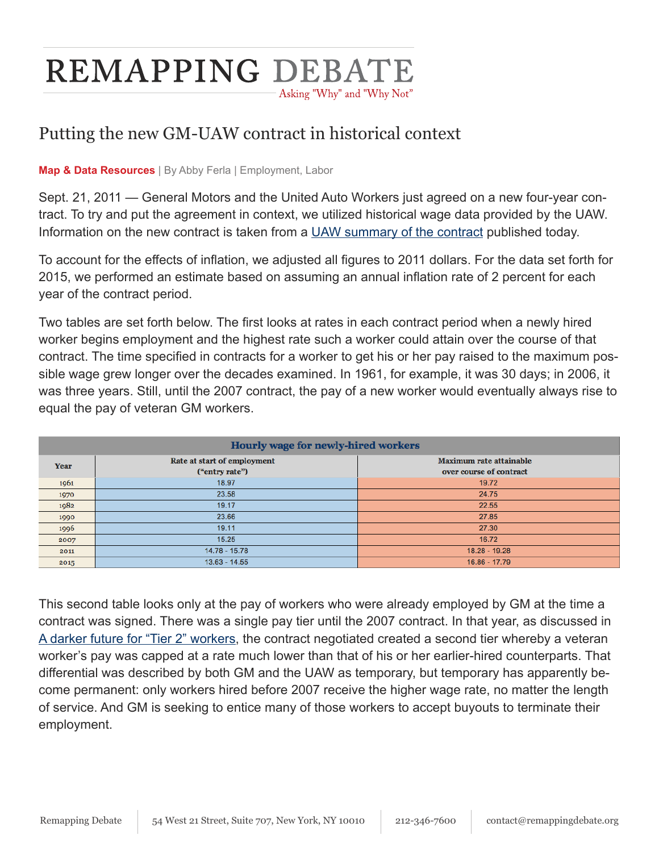## **REMAPPING DEBATE** Asking "Why" and "Why Not"

## Putting the new GM-UAW contract in historical context

## **Map & Data Resources** | By Abby Ferla | Employment, Labor

Sept. 21, 2011 — General Motors and the United Auto Workers just agreed on a new four-year contract. To try and put the agreement in context, we utilized historical wage data provided by the UAW. Information on the new contract is taken from a [UAW summary of the contract](http://www.uaw.org/sites/default/files/GM%20hourly%20summary-FINALFINAL-091911-330pm.pdf) published today.

To account for the effects of inflation, we adjusted all figures to 2011 dollars. For the data set forth for 2015, we performed an estimate based on assuming an annual inflation rate of 2 percent for each year of the contract period.

Two tables are set forth below. The first looks at rates in each contract period when a newly hired worker begins employment and the highest rate such a worker could attain over the course of that contract. The time specified in contracts for a worker to get his or her pay raised to the maximum possible wage grew longer over the decades examined. In 1961, for example, it was 30 days; in 2006, it was three years. Still, until the 2007 contract, the pay of a new worker would eventually always rise to equal the pay of veteran GM workers.

| Hourly wage for newly-hired workers |                                               |                                                    |  |
|-------------------------------------|-----------------------------------------------|----------------------------------------------------|--|
| Year                                | Rate at start of employment<br>("entry rate") | Maximum rate attainable<br>over course of contract |  |
| 1961                                | 18.97                                         | 19.72                                              |  |
| 1970                                | 23.58                                         | 24.75                                              |  |
| 1982                                | 19.17                                         | 22.55                                              |  |
| 1990                                | 23.66                                         | 27.85                                              |  |
| 1996                                | 19.11                                         | 27.30                                              |  |
| 2007                                | 15.25                                         | 16.72                                              |  |
| 2011                                | 14.78 - 15.78                                 | 18.28 - 19.28                                      |  |
| 2015                                | $13.63 - 14.55$                               | 16.86 - 17.79                                      |  |

This second table looks only at the pay of workers who were already employed by GM at the time a contract was signed. There was a single pay tier until the 2007 contract. In that year, as discussed in [A darker future for "Tier 2" workers,](http://www.remappingdebate.org/article/darker-future-tier-2-workers) the contract negotiated created a second tier whereby a veteran worker's pay was capped at a rate much lower than that of his or her earlier-hired counterparts. That differential was described by both GM and the UAW as temporary, but temporary has apparently become permanent: only workers hired before 2007 receive the higher wage rate, no matter the length of service. And GM is seeking to entice many of those workers to accept buyouts to terminate their employment.